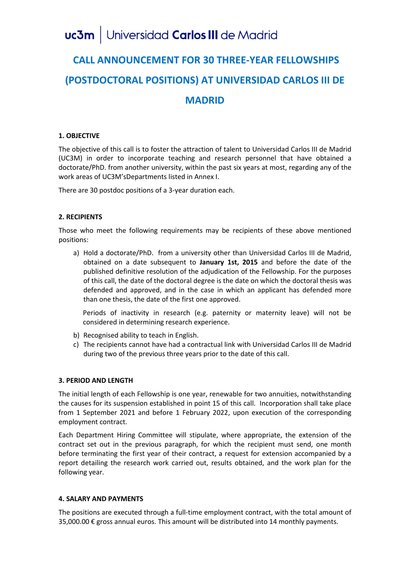# uc3m | Universidad Carlos III de Madrid

# **CALL ANNOUNCEMENT FOR 30 THREE-YEAR FELLOWSHIPS (POSTDOCTORAL POSITIONS) AT UNIVERSIDAD CARLOS III DE MADRID**

# **1. OBJECTIVE**

The objective of this call is to foster the attraction of talent to Universidad Carlos III de Madrid (UC3M) in order to incorporate teaching and research personnel that have obtained a doctorate/PhD. from another university, within the past six years at most, regarding any of the work areas of UC3M'sDepartments listed in Annex I.

There are 30 postdoc positions of a 3-year duration each.

# **2. RECIPIENTS**

Those who meet the following requirements may be recipients of these above mentioned positions:

a) Hold a doctorate/PhD. from a university other than Universidad Carlos III de Madrid, obtained on a date subsequent to **January 1st, 2015** and before the date of the published definitive resolution of the adjudication of the Fellowship. For the purposes of this call, the date of the doctoral degree is the date on which the doctoral thesis was defended and approved, and in the case in which an applicant has defended more than one thesis, the date of the first one approved.

Periods of inactivity in research (e.g. paternity or maternity leave) will not be considered in determining research experience.

- b) Recognised ability to teach in English.
- c) The recipients cannot have had a contractual link with Universidad Carlos III de Madrid during two of the previous three years prior to the date of this call.

# **3. PERIOD AND LENGTH**

The initial length of each Fellowship is one year, renewable for two annuities, notwithstanding the causes for its suspension established in point 15 of this call. Incorporation shall take place from 1 September 2021 and before 1 February 2022, upon execution of the corresponding employment contract.

Each Department Hiring Committee will stipulate, where appropriate, the extension of the contract set out in the previous paragraph, for which the recipient must send, one month before terminating the first year of their contract, a request for extension accompanied by a report detailing the research work carried out, results obtained, and the work plan for the following year.

# **4. SALARY AND PAYMENTS**

The positions are executed through a full-time employment contract, with the total amount of 35,000.00 € gross annual euros. This amount will be distributed into 14 monthly payments.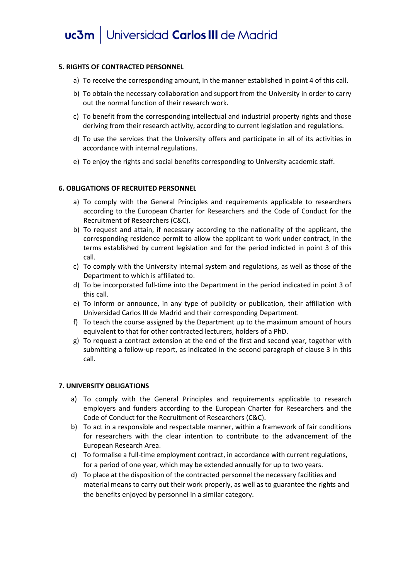# uc3m | Universidad Carlos III de Madrid

# **5. RIGHTS OF CONTRACTED PERSONNEL**

- a) To receive the corresponding amount, in the manner established in point 4 of this call.
- b) To obtain the necessary collaboration and support from the University in order to carry out the normal function of their research work.
- c) To benefit from the corresponding intellectual and industrial property rights and those deriving from their research activity, according to current legislation and regulations.
- d) To use the services that the University offers and participate in all of its activities in accordance with internal regulations.
- e) To enjoy the rights and social benefits corresponding to University academic staff.

# **6. OBLIGATIONS OF RECRUITED PERSONNEL**

- a) To comply with the General Principles and requirements applicable to researchers according to the European Charter for Researchers and the Code of Conduct for the Recruitment of Researchers (C&C).
- b) To request and attain, if necessary according to the nationality of the applicant, the corresponding residence permit to allow the applicant to work under contract, in the terms established by current legislation and for the period indicted in point 3 of this call.
- c) To comply with the University internal system and regulations, as well as those of the Department to which is affiliated to.
- d) To be incorporated full-time into the Department in the period indicated in point 3 of this call.
- e) To inform or announce, in any type of publicity or publication, their affiliation with Universidad Carlos III de Madrid and their corresponding Department.
- f) To teach the course assigned by the Department up to the maximum amount of hours equivalent to that for other contracted lecturers, holders of a PhD.
- g) To request a contract extension at the end of the first and second year, together with submitting a follow-up report, as indicated in the second paragraph of clause 3 in this call.

# **7. UNIVERSITY OBLIGATIONS**

- a) To comply with the General Principles and requirements applicable to research employers and funders according to the European Charter for Researchers and the Code of Conduct for the Recruitment of Researchers (C&C).
- b) To act in a responsible and respectable manner, within a framework of fair conditions for researchers with the clear intention to contribute to the advancement of the European Research Area.
- c) To formalise a full-time employment contract, in accordance with current regulations, for a period of one year, which may be extended annually for up to two years.
- d) To place at the disposition of the contracted personnel the necessary facilities and material means to carry out their work properly, as well as to guarantee the rights and the benefits enjoyed by personnel in a similar category.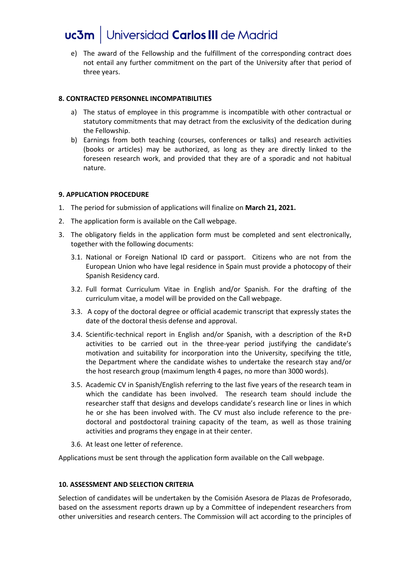e) The award of the Fellowship and the fulfillment of the corresponding contract does not entail any further commitment on the part of the University after that period of three years.

# **8. CONTRACTED PERSONNEL INCOMPATIBILITIES**

- a) The status of employee in this programme is incompatible with other contractual or statutory commitments that may detract from the exclusivity of the dedication during the Fellowship.
- b) Earnings from both teaching (courses, conferences or talks) and research activities (books or articles) may be authorized, as long as they are directly linked to the foreseen research work, and provided that they are of a sporadic and not habitual nature.

# **9. APPLICATION PROCEDURE**

- 1. The period for submission of applications will finalize on **March 21, 2021.**
- 2. The application form is available on the Call webpage.
- 3. The obligatory fields in the application form must be completed and sent electronically, together with the following documents:
	- 3.1. National or Foreign National ID card or passport. Citizens who are not from the European Union who have legal residence in Spain must provide a photocopy of their Spanish Residency card.
	- 3.2. Full format Curriculum Vitae in English and/or Spanish. For the drafting of the curriculum vitae, a model will be provided on the Call webpage.
	- 3.3. A copy of the doctoral degree or official academic transcript that expressly states the date of the doctoral thesis defense and approval.
	- 3.4. Scientific-technical report in English and/or Spanish, with a description of the R+D activities to be carried out in the three-year period justifying the candidate's motivation and suitability for incorporation into the University, specifying the title, the Department where the candidate wishes to undertake the research stay and/or the host research group (maximum length 4 pages, no more than 3000 words).
	- 3.5. Academic CV in Spanish/English referring to the last five years of the research team in which the candidate has been involved. The research team should include the researcher staff that designs and develops candidate's research line or lines in which he or she has been involved with. The CV must also include reference to the predoctoral and postdoctoral training capacity of the team, as well as those training activities and programs they engage in at their center.
	- 3.6. At least one letter of reference.

Applications must be sent through the application form available on the Call webpage.

# **10. ASSESSMENT AND SELECTION CRITERIA**

Selection of candidates will be undertaken by the Comisión Asesora de Plazas de Profesorado, based on the assessment reports drawn up by a Committee of independent researchers from other universities and research centers. The Commission will act according to the principles of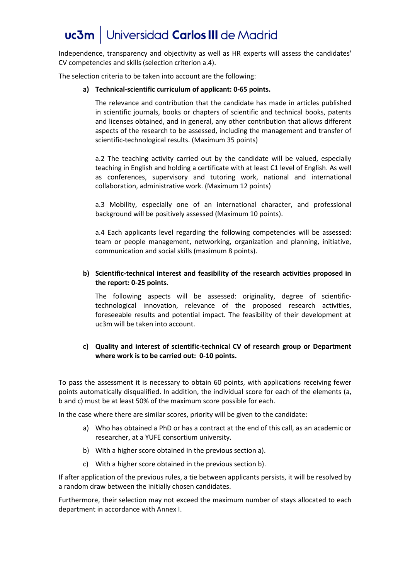Independence, transparency and objectivity as well as HR experts will assess the candidates' CV competencies and skills (selection criterion a.4).

The selection criteria to be taken into account are the following:

# **a) Technical-scientific curriculum of applicant: 0-65 points.**

The relevance and contribution that the candidate has made in articles published in scientific journals, books or chapters of scientific and technical books, patents and licenses obtained, and in general, any other contribution that allows different aspects of the research to be assessed, including the management and transfer of scientific-technological results. (Maximum 35 points)

a.2 The teaching activity carried out by the candidate will be valued, especially teaching in English and holding a certificate with at least C1 level of English. As well as conferences, supervisory and tutoring work, national and international collaboration, administrative work. (Maximum 12 points)

a.3 Mobility, especially one of an international character, and professional background will be positively assessed (Maximum 10 points).

a.4 Each applicants level regarding the following competencies will be assessed: team or people management, networking, organization and planning, initiative, communication and social skills (maximum 8 points).

# **b) Scientific-technical interest and feasibility of the research activities proposed in the report: 0-25 points.**

The following aspects will be assessed: originality, degree of scientifictechnological innovation, relevance of the proposed research activities, foreseeable results and potential impact. The feasibility of their development at uc3m will be taken into account.

# **c) Quality and interest of scientific-technical CV of research group or Department where work is to be carried out: 0-10 points.**

To pass the assessment it is necessary to obtain 60 points, with applications receiving fewer points automatically disqualified. In addition, the individual score for each of the elements (a, b and c) must be at least 50% of the maximum score possible for each.

In the case where there are similar scores, priority will be given to the candidate:

- a) Who has obtained a PhD or has a contract at the end of this call, as an academic or researcher, at a YUFE consortium university.
- b) With a higher score obtained in the previous section a).
- c) With a higher score obtained in the previous section b).

If after application of the previous rules, a tie between applicants persists, it will be resolved by a random draw between the initially chosen candidates.

Furthermore, their selection may not exceed the maximum number of stays allocated to each department in accordance with Annex I.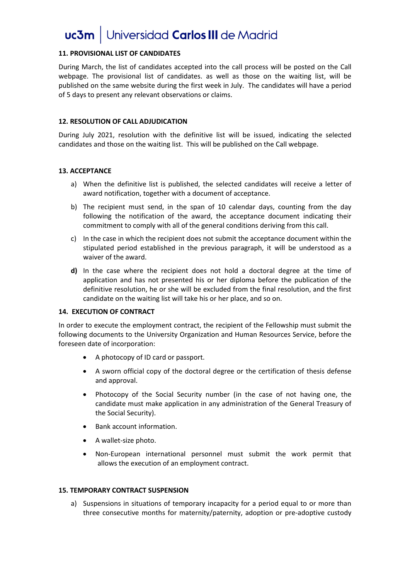# **11. PROVISIONAL LIST OF CANDIDATES**

During March, the list of candidates accepted into the call process will be posted on the Call webpage. The provisional list of candidates. as well as those on the waiting list, will be published on the same website during the first week in July. The candidates will have a period of 5 days to present any relevant observations or claims.

#### **12. RESOLUTION OF CALL ADJUDICATION**

During July 2021, resolution with the definitive list will be issued, indicating the selected candidates and those on the waiting list. This will be published on the Call webpage.

#### **13. ACCEPTANCE**

- a) When the definitive list is published, the selected candidates will receive a letter of award notification, together with a document of acceptance.
- b) The recipient must send, in the span of 10 calendar days, counting from the day following the notification of the award, the acceptance document indicating their commitment to comply with all of the general conditions deriving from this call.
- c) In the case in which the recipient does not submit the acceptance document within the stipulated period established in the previous paragraph, it will be understood as a waiver of the award.
- **d)** In the case where the recipient does not hold a doctoral degree at the time of application and has not presented his or her diploma before the publication of the definitive resolution, he or she will be excluded from the final resolution, and the first candidate on the waiting list will take his or her place, and so on.

#### **14. EXECUTION OF CONTRACT**

In order to execute the employment contract, the recipient of the Fellowship must submit the following documents to the University Organization and Human Resources Service, before the foreseen date of incorporation:

- A photocopy of ID card or passport.
- A sworn official copy of the doctoral degree or the certification of thesis defense and approval.
- Photocopy of the Social Security number (in the case of not having one, the candidate must make application in any administration of the General Treasury of the Social Security).
- Bank account information.
- A wallet-size photo.
- Non-European international personnel must submit the work permit that allows the execution of an employment contract.

# **15. TEMPORARY CONTRACT SUSPENSION**

a) Suspensions in situations of temporary incapacity for a period equal to or more than three consecutive months for maternity/paternity, adoption or pre-adoptive custody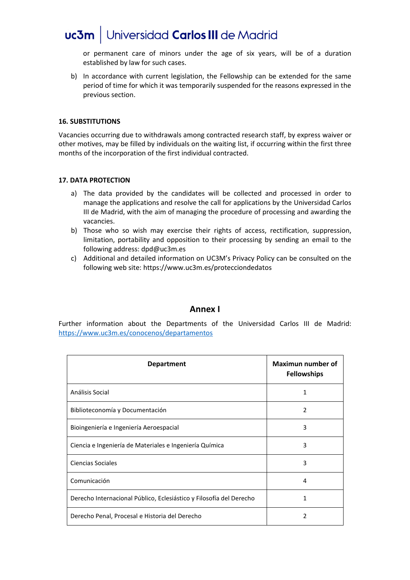or permanent care of minors under the age of six years, will be of a duration established by law for such cases.

b) In accordance with current legislation, the Fellowship can be extended for the same period of time for which it was temporarily suspended for the reasons expressed in the previous section.

# **16. SUBSTITUTIONS**

Vacancies occurring due to withdrawals among contracted research staff, by express waiver or other motives, may be filled by individuals on the waiting list, if occurring within the first three months of the incorporation of the first individual contracted.

# **17. DATA PROTECTION**

- a) The data provided by the candidates will be collected and processed in order to manage the applications and resolve the call for applications by the Universidad Carlos III de Madrid, with the aim of managing the procedure of processing and awarding the vacancies.
- b) Those who so wish may exercise their rights of access, rectification, suppression, limitation, portability and opposition to their processing by sending an email to the following address: dpd@uc3m.es
- c) Additional and detailed information on UC3M's Privacy Policy can be consulted on the following web site: https://www.uc3m.es/protecciondedatos

# **Annex I**

Further information about the Departments of the Universidad Carlos III de Madrid: <https://www.uc3m.es/conocenos/departamentos>

| <b>Department</b>                                                   | Maximun number of<br><b>Fellowships</b> |
|---------------------------------------------------------------------|-----------------------------------------|
| Análisis Social                                                     | 1                                       |
| Biblioteconomía y Documentación                                     | $\overline{2}$                          |
| Bioingeniería e Ingeniería Aeroespacial                             | 3                                       |
| Ciencia e Ingeniería de Materiales e Ingeniería Química             | 3                                       |
| <b>Ciencias Sociales</b>                                            | 3                                       |
| Comunicación                                                        | 4                                       |
| Derecho Internacional Público, Eclesiástico y Filosofía del Derecho | 1                                       |
| Derecho Penal, Procesal e Historia del Derecho                      | 2                                       |